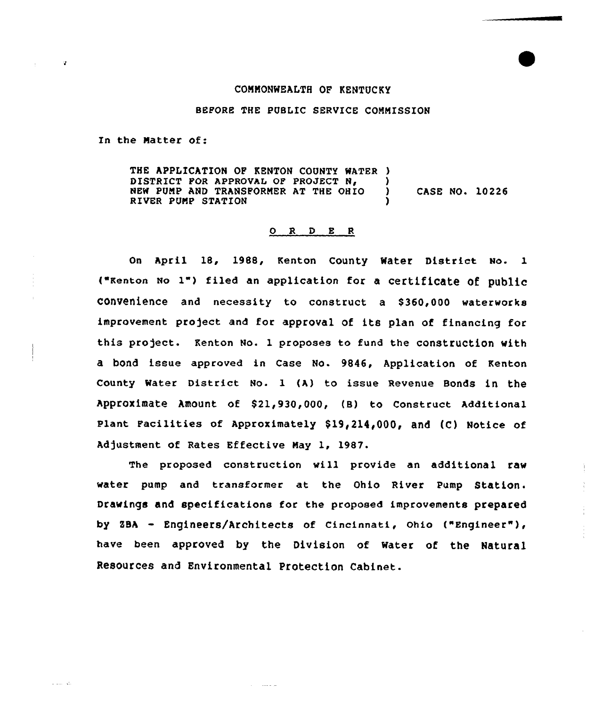## CONNONWEALTH OF KENTUCKY

## BEFORE THE PUBLIC SERVICE COMMISSION

In the Natter of:

 $\alpha$ 

THE APPLICATION OF KENTON COUNTY WATER ) DISTRICT FOR APPROVAL OF PROJECT N,  $\overrightarrow{y}$  NEW PUMP AND TRANSFORMER AT THE OHIO NEW PUNP AND TRANSFORMER AT THE OHIO ) CASE NO. 10226 RIVER PUMP STATION

## $O$  R D E R

On April 18, 1988, Kenton County Water District No. 1 ("Keaton No 1") filed an application for <sup>a</sup> certifiCate Of public CONVenience and necessity to construct a \$360,000 waterworks improvement project and for approval of its plan of financing for this pro)ect. Kenton No. 1 proposes to fund the construction with a bOnd issue approved in Case No. 9846, Application of Kenton County Water District No. 1 (A) to issue Revenue Bonds in the Approximate Amount of \$21,930,000, (B) to Construct Additional Plant Facilities of Approximately \$19,214,000, and (C) Notice of Adjustment of Rates Effective May 1, 1987.

The proposed construction will provide an additional raw water pump and transformer at the Ohio River Pump Station. Drawings and specifications for the proposed improvements prepared by sBA - Engineers/Architects of cincinnati, ohio ("Engineer" ), have been approved by the Division of water of the Natural Resources and Environmental Protection Cabinet.

 $\alpha$  , and  $\alpha$  , and  $\alpha$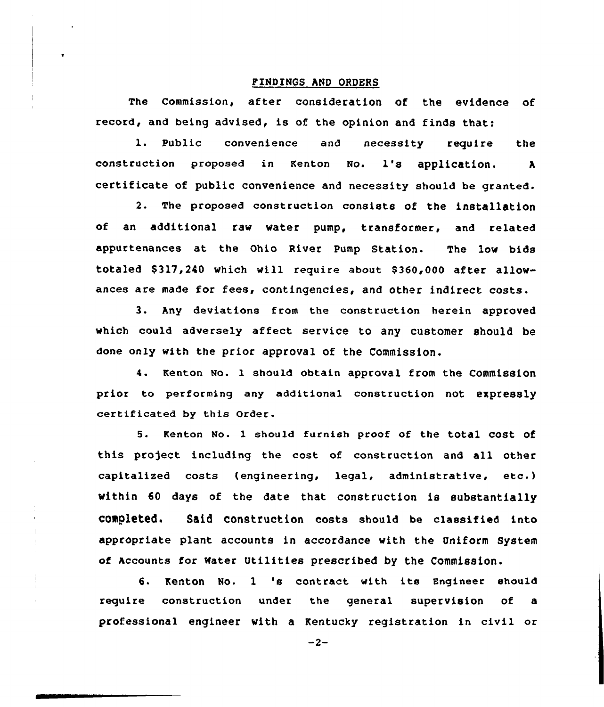## PINDINGS AND ORDERS

The commission, after consideration of the evidence of record, and being advised, is of the opinion and finds that:

1. Public convenience and necessity require the construction proposed in Kenton No. 1's application. <sup>A</sup> certificate of public convenience and necessity should be granted.

2. The proposed construction consists of the installation of an additional raw water pump, transformer, and related appurtenances at the Ohio River Pump Station. The low bids totaled \$317,240 which vill require about 8360,000 after allowances are made for fees, contingencies, and other indirect costs.

3. Any deviations from the construction herein approved which could adversely affect service to any customer should be done only with the prior approval of the Commission.

4. Kenton No. 1 should obtain approval from the Commission prior to performing any additional construction not expressly certificated by this Order.

5. Kenton No. 1 should furnish proof of the total cost of this project including the cost of construction and all other capitalized costs (engineering, legal, administrative, etc.) within 60 days of the date that construction is substantially completed. Said construction costs should be classified into appropriate plant accounts in accordance with the Uniform System of Accounts for water Utilities prescribed by the Commission.

6. Kenton No. <sup>1</sup> 's contract with its Fngineer should require construction under the general supervision of a professional engineer with a Kentucky registration in civil or

 $-2-$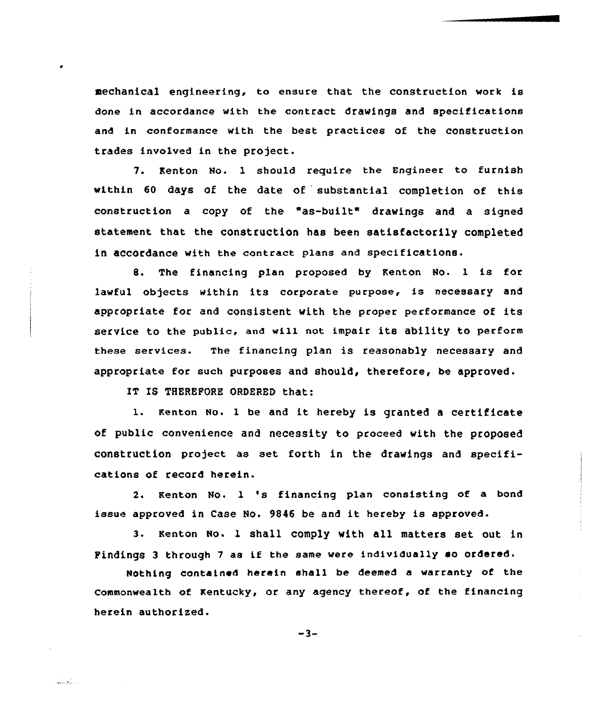aechanical engineering, to ensure that the construction work is done in accordance vith the contract drawings and specifications and in conformance with the best practices of the construction trades involved in the project.

7. Kenton No. 1 should require the Engineer to furnish within 60 days of the date of substantial completion af this construction a copy of the "as-built" drawings and a signed statement that the construction has been satisfactorily completed in accordance with the contract plans and specifications.

8. The financing plan proposed by Kenton No. 1 is for lawful objects within its corporate purpose, is necessary and appropriate for and consistent with the proper performance of its service to the public, and will not impair its ability to perform these services. The financing plan is reasonably necessary and appropriate for such purposes and should, therefore, be approved.

IT IS THEREFORE ORDERED that:

 $\sqrt{2}$  ,  $\sqrt{2}$  ,  $\sqrt{2}$ 

1. Kenton No. 1 be and it hereby is granted a certificate of public convenience and necessity to proceed with the proposed construction project as set forth in the drawings and specifications of record herein.

2. Kenton No. <sup>1</sup> 's financing plan consisting of <sup>a</sup> bond issue approved in Case No. <sup>9846</sup> be and it hereby is approved.

3. Kenton No. 1 shall comply with all matters set out in Findings <sup>3</sup> through <sup>7</sup> as if the same vere individually so ordered.

Nothing contained herein shall be deemed a warranty of the Commonwealth of Kentucky, or any agency thereof, of the financing herein authorized.

 $-3-$